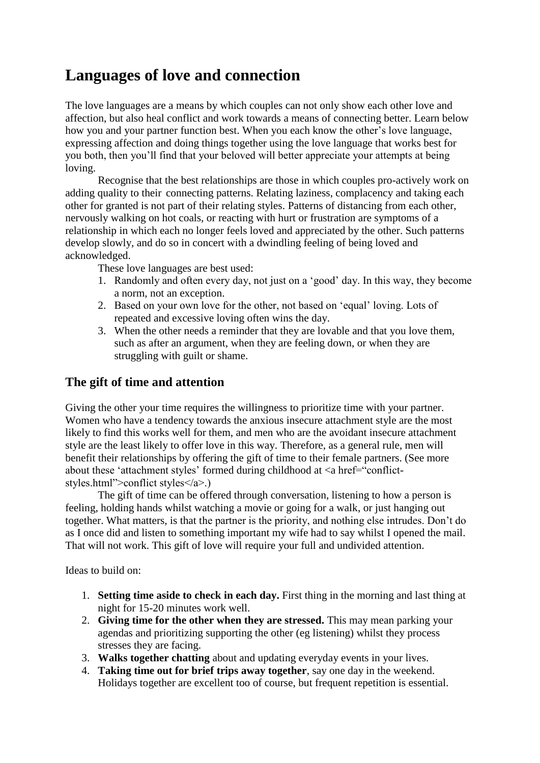# **Languages of love and connection**

The love languages are a means by which couples can not only show each other love and affection, but also heal conflict and work towards a means of connecting better. Learn below how you and your partner function best. When you each know the other's love language, expressing affection and doing things together using the love language that works best for you both, then you'll find that your beloved will better appreciate your attempts at being loving.

Recognise that the best relationships are those in which couples pro-actively work on adding quality to their connecting patterns. Relating laziness, complacency and taking each other for granted is not part of their relating styles. Patterns of distancing from each other, nervously walking on hot coals, or reacting with hurt or frustration are symptoms of a relationship in which each no longer feels loved and appreciated by the other. Such patterns develop slowly, and do so in concert with a dwindling feeling of being loved and acknowledged.

These love languages are best used:

- 1. Randomly and often every day, not just on a 'good' day. In this way, they become a norm, not an exception.
- 2. Based on your own love for the other, not based on 'equal' loving. Lots of repeated and excessive loving often wins the day.
- 3. When the other needs a reminder that they are lovable and that you love them, such as after an argument, when they are feeling down, or when they are struggling with guilt or shame.

#### **The gift of time and attention**

Giving the other your time requires the willingness to prioritize time with your partner. Women who have a tendency towards the anxious insecure attachment style are the most likely to find this works well for them, and men who are the avoidant insecure attachment style are the least likely to offer love in this way. Therefore, as a general rule, men will benefit their relationships by offering the gift of time to their female partners. (See more about these 'attachment styles' formed during childhood at  $\langle a \cdot href = \langle conflict$ styles.html">conflict styles</a>.)

The gift of time can be offered through conversation, listening to how a person is feeling, holding hands whilst watching a movie or going for a walk, or just hanging out together. What matters, is that the partner is the priority, and nothing else intrudes. Don't do as I once did and listen to something important my wife had to say whilst I opened the mail. That will not work. This gift of love will require your full and undivided attention.

Ideas to build on:

- 1. **Setting time aside to check in each day.** First thing in the morning and last thing at night for 15-20 minutes work well.
- 2. **Giving time for the other when they are stressed.** This may mean parking your agendas and prioritizing supporting the other (eg listening) whilst they process stresses they are facing.
- 3. **Walks together chatting** about and updating everyday events in your lives.
- 4. **Taking time out for brief trips away together**, say one day in the weekend. Holidays together are excellent too of course, but frequent repetition is essential.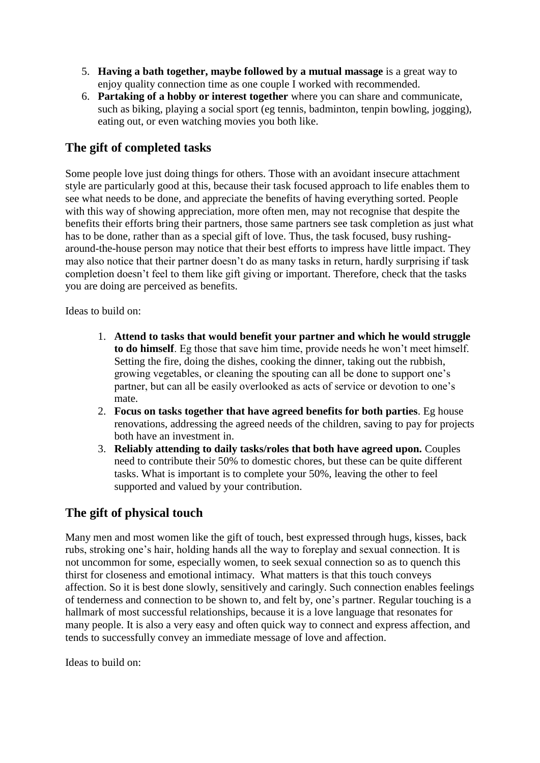- 5. **Having a bath together, maybe followed by a mutual massage** is a great way to enjoy quality connection time as one couple I worked with recommended.
- 6. **Partaking of a hobby or interest together** where you can share and communicate, such as biking, playing a social sport (eg tennis, badminton, tenpin bowling, jogging), eating out, or even watching movies you both like.

#### **The gift of completed tasks**

Some people love just doing things for others. Those with an avoidant insecure attachment style are particularly good at this, because their task focused approach to life enables them to see what needs to be done, and appreciate the benefits of having everything sorted. People with this way of showing appreciation, more often men, may not recognise that despite the benefits their efforts bring their partners, those same partners see task completion as just what has to be done, rather than as a special gift of love. Thus, the task focused, busy rushingaround-the-house person may notice that their best efforts to impress have little impact. They may also notice that their partner doesn't do as many tasks in return, hardly surprising if task completion doesn't feel to them like gift giving or important. Therefore, check that the tasks you are doing are perceived as benefits.

Ideas to build on:

- 1. **Attend to tasks that would benefit your partner and which he would struggle to do himself**. Eg those that save him time, provide needs he won't meet himself. Setting the fire, doing the dishes, cooking the dinner, taking out the rubbish, growing vegetables, or cleaning the spouting can all be done to support one's partner, but can all be easily overlooked as acts of service or devotion to one's mate.
- 2. **Focus on tasks together that have agreed benefits for both parties**. Eg house renovations, addressing the agreed needs of the children, saving to pay for projects both have an investment in.
- 3. **Reliably attending to daily tasks/roles that both have agreed upon.** Couples need to contribute their 50% to domestic chores, but these can be quite different tasks. What is important is to complete your 50%, leaving the other to feel supported and valued by your contribution.

#### **The gift of physical touch**

Many men and most women like the gift of touch, best expressed through hugs, kisses, back rubs, stroking one's hair, holding hands all the way to foreplay and sexual connection. It is not uncommon for some, especially women, to seek sexual connection so as to quench this thirst for closeness and emotional intimacy. What matters is that this touch conveys affection. So it is best done slowly, sensitively and caringly. Such connection enables feelings of tenderness and connection to be shown to, and felt by, one's partner. Regular touching is a hallmark of most successful relationships, because it is a love language that resonates for many people. It is also a very easy and often quick way to connect and express affection, and tends to successfully convey an immediate message of love and affection.

Ideas to build on: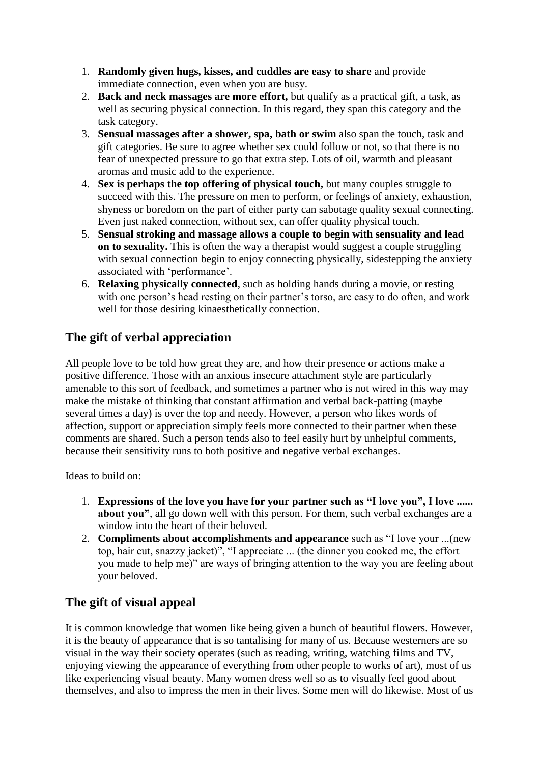- 1. **Randomly given hugs, kisses, and cuddles are easy to share** and provide immediate connection, even when you are busy.
- 2. **Back and neck massages are more effort,** but qualify as a practical gift, a task, as well as securing physical connection. In this regard, they span this category and the task category.
- 3. **Sensual massages after a shower, spa, bath or swim** also span the touch, task and gift categories. Be sure to agree whether sex could follow or not, so that there is no fear of unexpected pressure to go that extra step. Lots of oil, warmth and pleasant aromas and music add to the experience.
- 4. **Sex is perhaps the top offering of physical touch,** but many couples struggle to succeed with this. The pressure on men to perform, or feelings of anxiety, exhaustion, shyness or boredom on the part of either party can sabotage quality sexual connecting. Even just naked connection, without sex, can offer quality physical touch.
- 5. **Sensual stroking and massage allows a couple to begin with sensuality and lead on to sexuality.** This is often the way a therapist would suggest a couple struggling with sexual connection begin to enjoy connecting physically, sidestepping the anxiety associated with 'performance'.
- 6. **Relaxing physically connected**, such as holding hands during a movie, or resting with one person's head resting on their partner's torso, are easy to do often, and work well for those desiring kinaesthetically connection.

### **The gift of verbal appreciation**

All people love to be told how great they are, and how their presence or actions make a positive difference. Those with an anxious insecure attachment style are particularly amenable to this sort of feedback, and sometimes a partner who is not wired in this way may make the mistake of thinking that constant affirmation and verbal back-patting (maybe several times a day) is over the top and needy. However, a person who likes words of affection, support or appreciation simply feels more connected to their partner when these comments are shared. Such a person tends also to feel easily hurt by unhelpful comments, because their sensitivity runs to both positive and negative verbal exchanges.

Ideas to build on:

- 1. **Expressions of the love you have for your partner such as "I love you", I love ...... about you"**, all go down well with this person. For them, such verbal exchanges are a window into the heart of their beloved.
- 2. **Compliments about accomplishments and appearance** such as "I love your ...(new top, hair cut, snazzy jacket)", "I appreciate ... (the dinner you cooked me, the effort you made to help me)" are ways of bringing attention to the way you are feeling about your beloved.

## **The gift of visual appeal**

It is common knowledge that women like being given a bunch of beautiful flowers. However, it is the beauty of appearance that is so tantalising for many of us. Because westerners are so visual in the way their society operates (such as reading, writing, watching films and TV, enjoying viewing the appearance of everything from other people to works of art), most of us like experiencing visual beauty. Many women dress well so as to visually feel good about themselves, and also to impress the men in their lives. Some men will do likewise. Most of us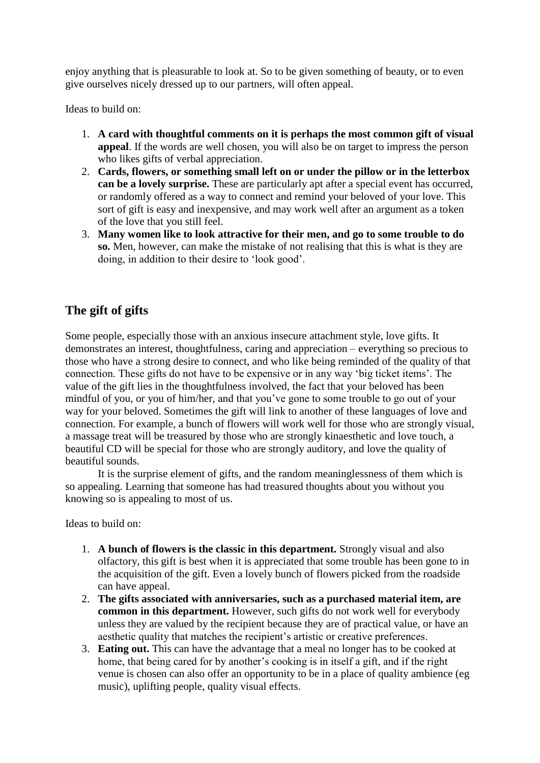enjoy anything that is pleasurable to look at. So to be given something of beauty, or to even give ourselves nicely dressed up to our partners, will often appeal.

Ideas to build on:

- 1. **A card with thoughtful comments on it is perhaps the most common gift of visual appeal**. If the words are well chosen, you will also be on target to impress the person who likes gifts of verbal appreciation.
- 2. **Cards, flowers, or something small left on or under the pillow or in the letterbox can be a lovely surprise.** These are particularly apt after a special event has occurred, or randomly offered as a way to connect and remind your beloved of your love. This sort of gift is easy and inexpensive, and may work well after an argument as a token of the love that you still feel.
- 3. **Many women like to look attractive for their men, and go to some trouble to do so.** Men, however, can make the mistake of not realising that this is what is they are doing, in addition to their desire to 'look good'.

#### **The gift of gifts**

Some people, especially those with an anxious insecure attachment style, love gifts. It demonstrates an interest, thoughtfulness, caring and appreciation – everything so precious to those who have a strong desire to connect, and who like being reminded of the quality of that connection. These gifts do not have to be expensive or in any way 'big ticket items'. The value of the gift lies in the thoughtfulness involved, the fact that your beloved has been mindful of you, or you of him/her, and that you've gone to some trouble to go out of your way for your beloved. Sometimes the gift will link to another of these languages of love and connection. For example, a bunch of flowers will work well for those who are strongly visual, a massage treat will be treasured by those who are strongly kinaesthetic and love touch, a beautiful CD will be special for those who are strongly auditory, and love the quality of beautiful sounds.

It is the surprise element of gifts, and the random meaninglessness of them which is so appealing. Learning that someone has had treasured thoughts about you without you knowing so is appealing to most of us.

Ideas to build on:

- 1. **A bunch of flowers is the classic in this department.** Strongly visual and also olfactory, this gift is best when it is appreciated that some trouble has been gone to in the acquisition of the gift. Even a lovely bunch of flowers picked from the roadside can have appeal.
- 2. **The gifts associated with anniversaries, such as a purchased material item, are common in this department.** However, such gifts do not work well for everybody unless they are valued by the recipient because they are of practical value, or have an aesthetic quality that matches the recipient's artistic or creative preferences.
- 3. **Eating out.** This can have the advantage that a meal no longer has to be cooked at home, that being cared for by another's cooking is in itself a gift, and if the right venue is chosen can also offer an opportunity to be in a place of quality ambience (eg music), uplifting people, quality visual effects.